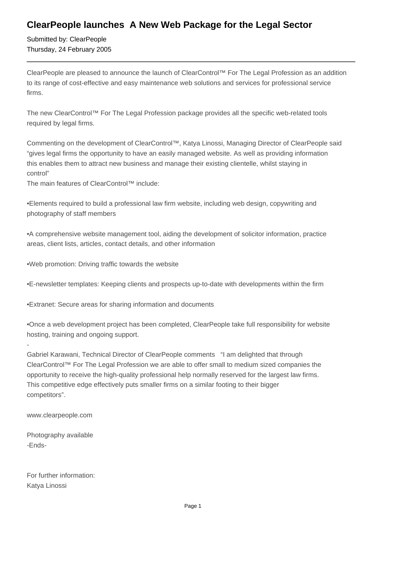## **ClearPeople launches A New Web Package for the Legal Sector**

Submitted by: ClearPeople Thursday, 24 February 2005

ClearPeople are pleased to announce the launch of ClearControl™ For The Legal Profession as an addition to its range of cost-effective and easy maintenance web solutions and services for professional service firms.

The new ClearControl™ For The Legal Profession package provides all the specific web-related tools required by legal firms.

Commenting on the development of ClearControl™, Katya Linossi, Managing Director of ClearPeople said "gives legal firms the opportunity to have an easily managed website. As well as providing information this enables them to attract new business and manage their existing clientelle, whilst staying in control"

The main features of ClearControl™ include:

• Elements required to build a professional law firm website, including web design, copywriting and photography of staff members

• A comprehensive website management tool, aiding the development of solicitor information, practice areas, client lists, articles, contact details, and other information

- • Web promotion: Driving traffic towards the website
- • E-newsletter templates: Keeping clients and prospects up-to-date with developments within the firm
- Extranet: Secure areas for sharing information and documents

• Once a web development project has been completed, ClearPeople take full responsibility for website hosting, training and ongoing support.

Gabriel Karawani, Technical Director of ClearPeople comments "I am delighted that through ClearControl™ For The Legal Profession we are able to offer small to medium sized companies the opportunity to receive the high-quality professional help normally reserved for the largest law firms. This competitive edge effectively puts smaller firms on a similar footing to their bigger competitors".

www.clearpeople.com

- 

Photography available -Ends-

For further information: Katya Linossi